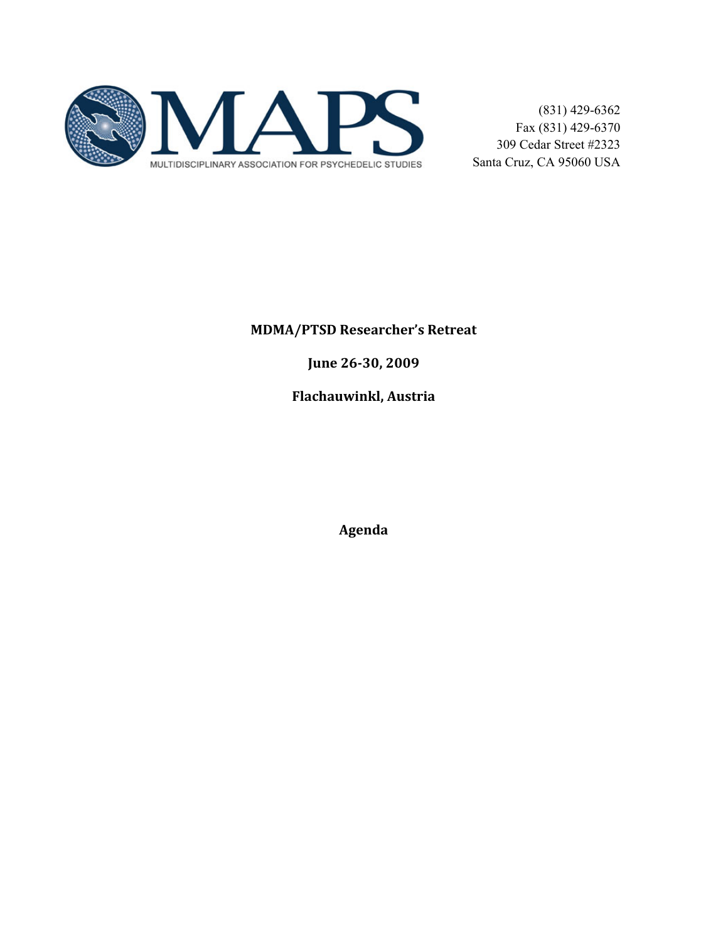

## **MDMA/PTSD Researcher's Retreat**

June 26-30, 2009

**Flachauwinkl, Austria** 

Agenda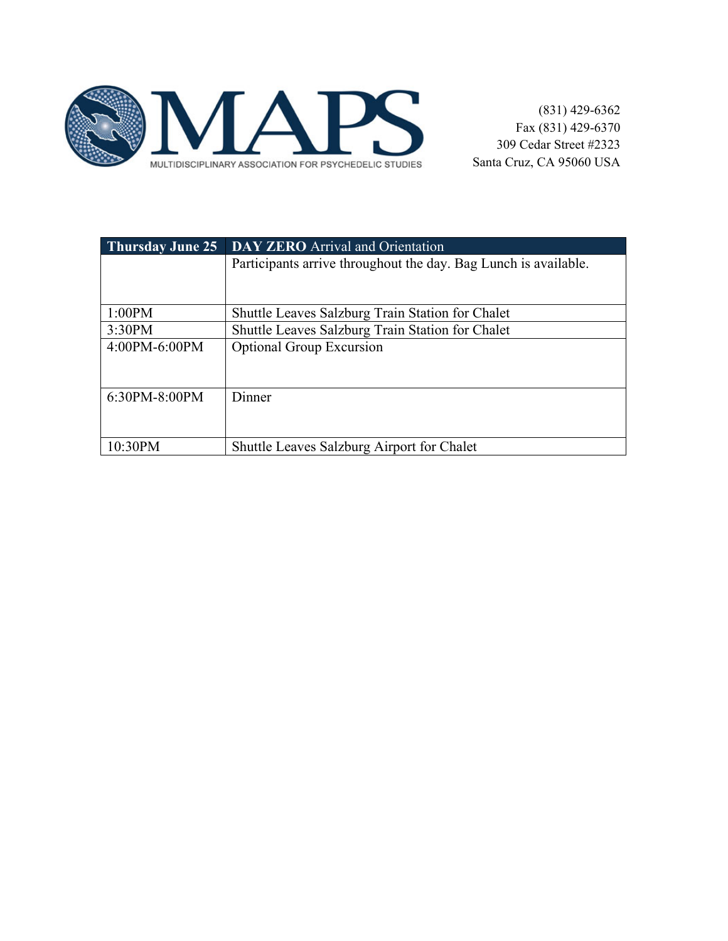

| <b>Thursday June 25</b> | <b>DAY ZERO</b> Arrival and Orientation                         |  |
|-------------------------|-----------------------------------------------------------------|--|
|                         | Participants arrive throughout the day. Bag Lunch is available. |  |
|                         |                                                                 |  |
| 1:00PM                  | <b>Shuttle Leaves Salzburg Train Station for Chalet</b>         |  |
| 3:30PM                  | Shuttle Leaves Salzburg Train Station for Chalet                |  |
| $4:00PM - 6:00PM$       | <b>Optional Group Excursion</b>                                 |  |
| $6:30PM - 8:00PM$       | Dinner                                                          |  |
| 10:30PM                 | <b>Shuttle Leaves Salzburg Airport for Chalet</b>               |  |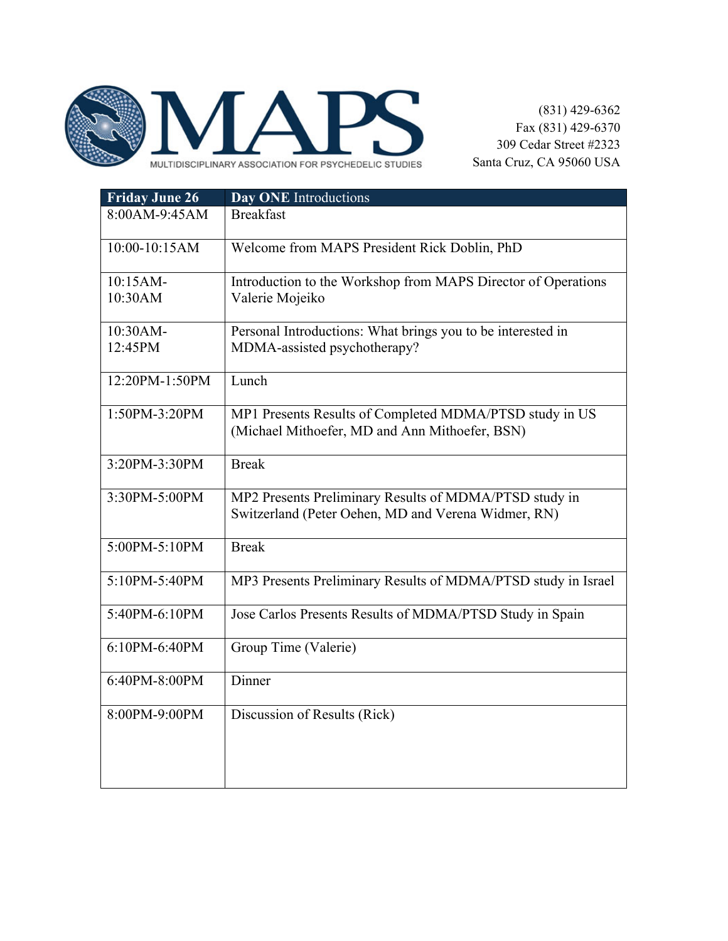

| <b>Friday June 26</b> | Day ONE Introductions                                         |
|-----------------------|---------------------------------------------------------------|
| 8:00AM-9:45AM         | <b>Breakfast</b>                                              |
| 10:00-10:15AM         | Welcome from MAPS President Rick Doblin, PhD                  |
| 10:15AM-              | Introduction to the Workshop from MAPS Director of Operations |
| 10:30AM               | Valerie Mojeiko                                               |
| 10:30AM-              | Personal Introductions: What brings you to be interested in   |
| 12:45PM               | MDMA-assisted psychotherapy?                                  |
| 12:20PM-1:50PM        | Lunch                                                         |
| 1:50PM-3:20PM         | MP1 Presents Results of Completed MDMA/PTSD study in US       |
|                       | (Michael Mithoefer, MD and Ann Mithoefer, BSN)                |
| 3:20PM-3:30PM         | <b>Break</b>                                                  |
| 3:30PM-5:00PM         | MP2 Presents Preliminary Results of MDMA/PTSD study in        |
|                       | Switzerland (Peter Oehen, MD and Verena Widmer, RN)           |
| 5:00PM-5:10PM         | <b>Break</b>                                                  |
| 5:10PM-5:40PM         | MP3 Presents Preliminary Results of MDMA/PTSD study in Israel |
| 5:40PM-6:10PM         | Jose Carlos Presents Results of MDMA/PTSD Study in Spain      |
| 6:10PM-6:40PM         | Group Time (Valerie)                                          |
| 6:40PM-8:00PM         | Dinner                                                        |
| 8:00PM-9:00PM         | Discussion of Results (Rick)                                  |
|                       |                                                               |
|                       |                                                               |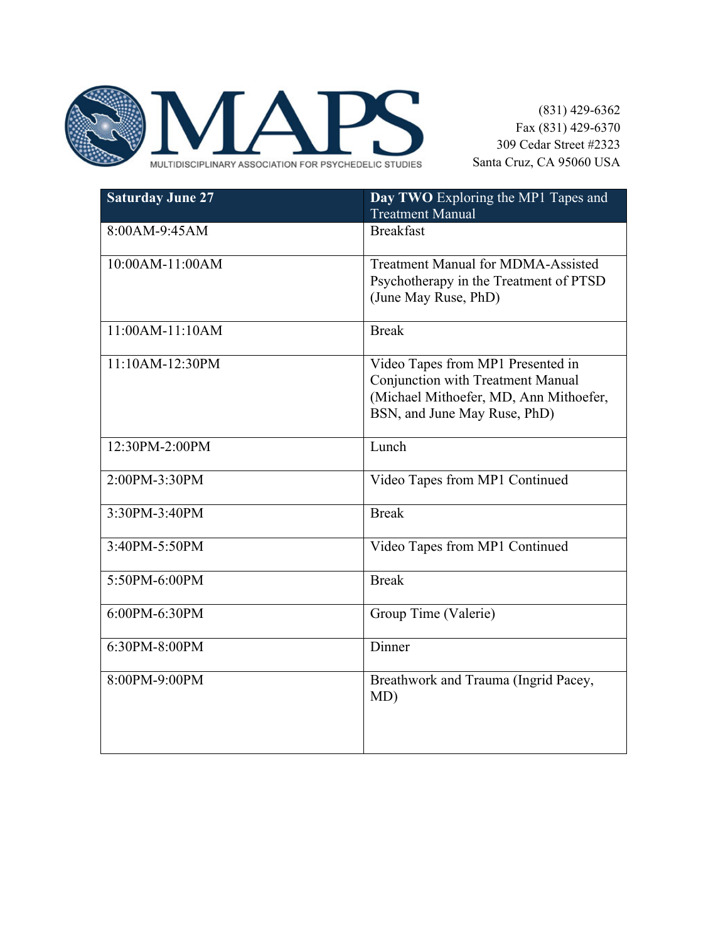

| <b>Saturday June 27</b> | Day TWO Exploring the MP1 Tapes and<br><b>Treatment Manual</b>                                                                                          |
|-------------------------|---------------------------------------------------------------------------------------------------------------------------------------------------------|
| 8:00AM-9:45AM           | <b>Breakfast</b>                                                                                                                                        |
| $10:00AM-11:00AM$       | <b>Treatment Manual for MDMA-Assisted</b><br>Psychotherapy in the Treatment of PTSD<br>(June May Ruse, PhD)                                             |
| 11:00AM-11:10AM         | <b>Break</b>                                                                                                                                            |
| 11:10AM-12:30PM         | Video Tapes from MP1 Presented in<br><b>Conjunction with Treatment Manual</b><br>(Michael Mithoefer, MD, Ann Mithoefer,<br>BSN, and June May Ruse, PhD) |
| 12:30PM-2:00PM          | Lunch                                                                                                                                                   |
| 2:00PM-3:30PM           | Video Tapes from MP1 Continued                                                                                                                          |
| 3:30PM-3:40PM           | <b>Break</b>                                                                                                                                            |
| 3:40PM-5:50PM           | Video Tapes from MP1 Continued                                                                                                                          |
| 5:50PM-6:00PM           | <b>Break</b>                                                                                                                                            |
| 6:00PM-6:30PM           | Group Time (Valerie)                                                                                                                                    |
| 6:30PM-8:00PM           | Dinner                                                                                                                                                  |
| 8:00PM-9:00PM           | Breathwork and Trauma (Ingrid Pacey,<br>MD)                                                                                                             |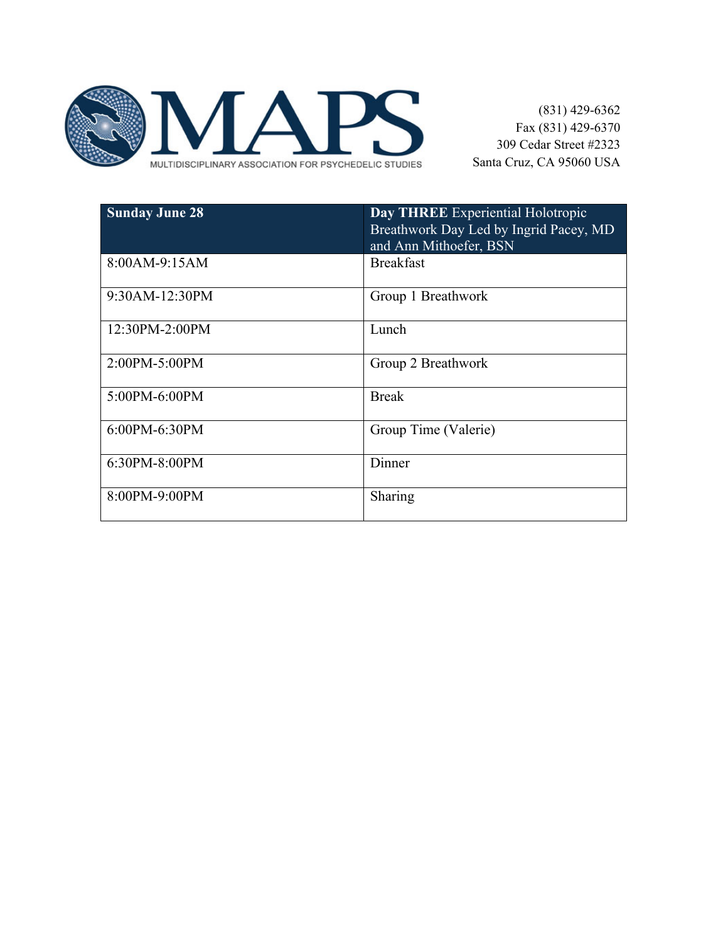

| <b>Sunday June 28</b> | Day THREE Experiential Holotropic<br>Breathwork Day Led by Ingrid Pacey, MD<br>and Ann Mithoefer, BSN |
|-----------------------|-------------------------------------------------------------------------------------------------------|
| 8:00AM-9:15AM         | <b>Breakfast</b>                                                                                      |
| 9:30AM-12:30PM        | Group 1 Breathwork                                                                                    |
| 12:30PM-2:00PM        | Lunch                                                                                                 |
| 2:00PM-5:00PM         | Group 2 Breathwork                                                                                    |
| 5:00PM-6:00PM         | <b>Break</b>                                                                                          |
| 6:00PM-6:30PM         | Group Time (Valerie)                                                                                  |
| 6:30PM-8:00PM         | Dinner                                                                                                |
| 8:00PM-9:00PM         | Sharing                                                                                               |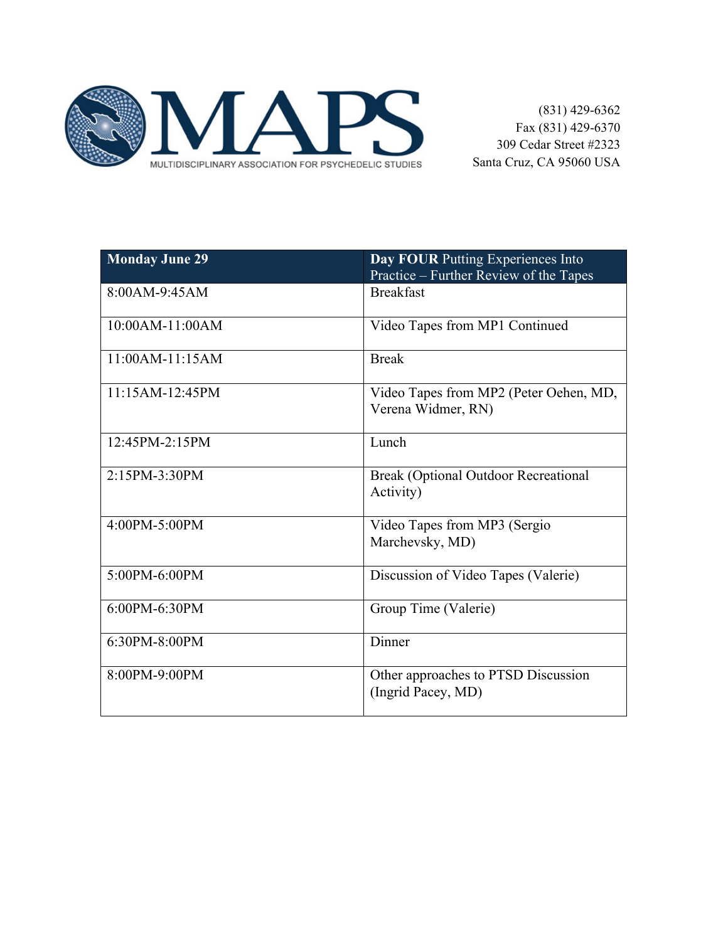

| <b>Monday June 29</b> | Day FOUR Putting Experiences Into<br>Practice – Further Review of the Tapes |
|-----------------------|-----------------------------------------------------------------------------|
| 8:00AM-9:45AM         | <b>Breakfast</b>                                                            |
| $10:00AM-11:00AM$     | Video Tapes from MP1 Continued                                              |
| $11:00AM-11:15AM$     | <b>Break</b>                                                                |
| $11:15AM-12:45PM$     | Video Tapes from MP2 (Peter Oehen, MD,<br>Verena Widmer, RN)                |
| 12:45PM-2:15PM        | Lunch                                                                       |
| 2:15PM-3:30PM         | <b>Break (Optional Outdoor Recreational</b><br>Activity)                    |
| $4:00PM - 5:00PM$     | Video Tapes from MP3 (Sergio<br>Marchevsky, MD)                             |
| 5:00PM-6:00PM         | Discussion of Video Tapes (Valerie)                                         |
| $6:00PM - 6:30PM$     | Group Time (Valerie)                                                        |
| 6:30PM-8:00PM         | Dinner                                                                      |
| 8:00PM-9:00PM         | Other approaches to PTSD Discussion<br>(Ingrid Pacey, MD)                   |